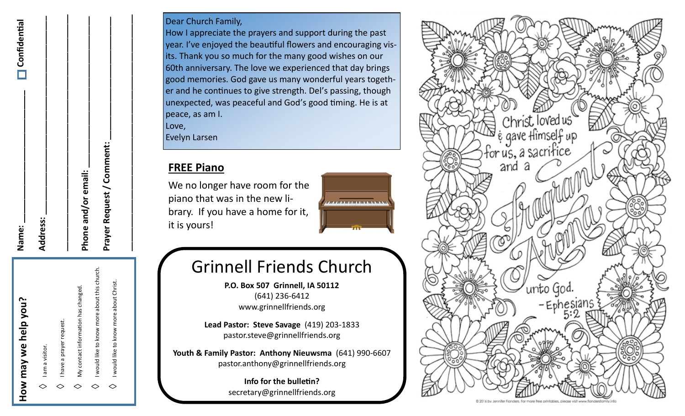| Name:               | <b>N</b> Confidential |
|---------------------|-----------------------|
| Address:            |                       |
|                     |                       |
| Phone and/or email: |                       |
|                     |                       |

| JON            |              |
|----------------|--------------|
|                |              |
| we help        |              |
|                |              |
|                | am a visitor |
| Neu            |              |
|                |              |
| $\frac{2}{10}$ |              |

 $\diamond$ 

◇

◇

◇

I would like to know more about Christ.

would like to know

more about Christ.

**Prayer Request / Comment: \_\_\_\_\_\_\_\_\_\_\_\_\_\_\_\_\_\_\_\_\_\_\_\_\_\_ \_\_\_\_\_\_\_\_\_\_\_\_\_\_\_\_\_\_\_\_\_\_\_\_\_\_\_\_\_\_\_\_\_\_\_\_\_\_\_\_\_\_\_\_\_\_\_\_\_\_**

Prayer Request / Comment:

I would like to know more about this church.

would like to know more about this church

My contact information has changed.

contact information has changed

V I have a prayer request.

have a prayer request

#### Dear Church Family,

How I appreciate the prayers and support during the past year. I've enjoyed the beautiful flowers and encouraging visits. Thank you so much for the many good wishes on our 60th anniversary. The love we experienced that day brings good memories. God gave us many wonderful years together and he continues to give strength. Del's passing, though unexpected, was peaceful and God's good timing. He is at peace, as am I.

Love,

Evelyn Larsen

#### **FREE Piano**

We no longer have room for the piano that was in the new library. If you have a home for it, it is yours!



## Grinnell Friends Church

**P.O. Box 507 Grinnell, IA 50112** (641) 236-6412 www.grinnellfriends.org

**Lead Pastor: Steve Savage** (419) 203-1833 pastor.steve@grinnellfriends.org

**Youth & Family Pastor: Anthony Nieuwsma** (641) 990-6607 pastor.anthony@grinnellfriends.org

> **Info for the bulletin?**  secretary@grinnellfriends.org